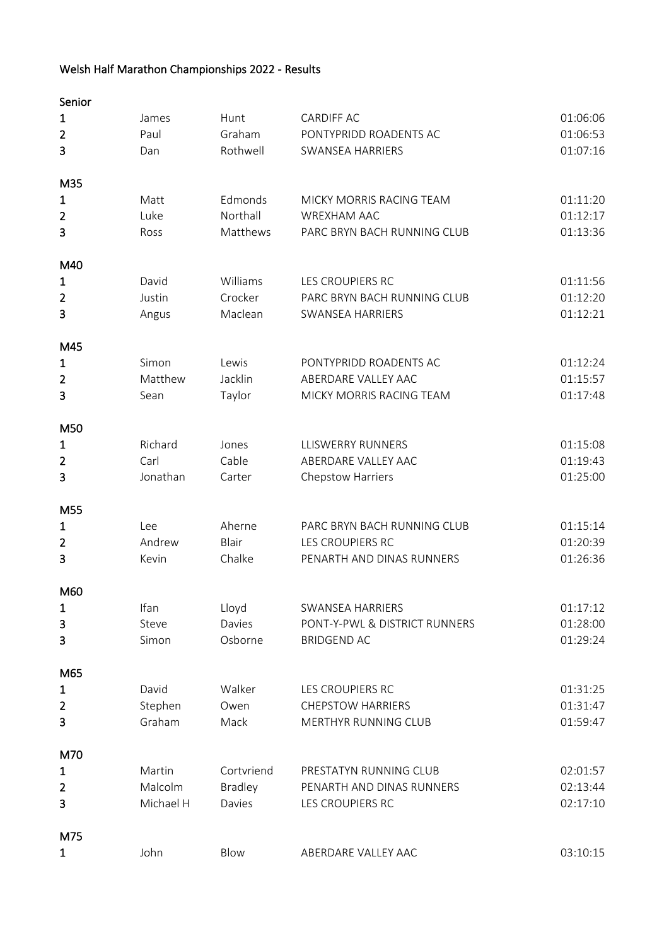## Welsh Half Marathon Championships 2022 - Results

| Senior         |           |                |                               |          |
|----------------|-----------|----------------|-------------------------------|----------|
| 1              | James     | Hunt           | <b>CARDIFF AC</b>             | 01:06:06 |
| $\overline{2}$ | Paul      | Graham         | PONTYPRIDD ROADENTS AC        | 01:06:53 |
| 3              | Dan       | Rothwell       | SWANSEA HARRIERS              | 01:07:16 |
| M35            |           |                |                               |          |
| $\mathbf{1}$   | Matt      | Edmonds        | MICKY MORRIS RACING TEAM      | 01:11:20 |
| $\overline{2}$ | Luke      | Northall       | WREXHAM AAC                   | 01:12:17 |
| 3              | Ross      | Matthews       | PARC BRYN BACH RUNNING CLUB   | 01:13:36 |
| M40            |           |                |                               |          |
| 1              | David     | Williams       | LES CROUPIERS RC              | 01:11:56 |
| $\overline{2}$ | Justin    | Crocker        | PARC BRYN BACH RUNNING CLUB   | 01:12:20 |
| 3              | Angus     | Maclean        | SWANSEA HARRIERS              | 01:12:21 |
| M45            |           |                |                               |          |
| 1              | Simon     | Lewis          | PONTYPRIDD ROADENTS AC        | 01:12:24 |
| $\overline{2}$ | Matthew   | Jacklin        | ABERDARE VALLEY AAC           | 01:15:57 |
| 3              | Sean      | Taylor         | MICKY MORRIS RACING TEAM      | 01:17:48 |
| M50            |           |                |                               |          |
| $\mathbf{1}$   | Richard   | Jones          | <b>LLISWERRY RUNNERS</b>      | 01:15:08 |
| $\overline{2}$ | Carl      | Cable          | ABERDARE VALLEY AAC           | 01:19:43 |
| 3              | Jonathan  | Carter         | Chepstow Harriers             | 01:25:00 |
| M55            |           |                |                               |          |
| 1              | Lee       | Aherne         | PARC BRYN BACH RUNNING CLUB   | 01:15:14 |
| $\overline{2}$ | Andrew    | Blair          | LES CROUPIERS RC              | 01:20:39 |
| 3              | Kevin     | Chalke         | PENARTH AND DINAS RUNNERS     | 01:26:36 |
| M60            |           |                |                               |          |
| $\mathbf{1}$   | Ifan      | Lloyd          | SWANSEA HARRIERS              | 01:17:12 |
| 3              | Steve     | Davies         | PONT-Y-PWL & DISTRICT RUNNERS | 01:28:00 |
| 3              | Simon     | Osborne        | <b>BRIDGEND AC</b>            | 01:29:24 |
| M65            |           |                |                               |          |
| $\mathbf{1}$   | David     | Walker         | LES CROUPIERS RC              | 01:31:25 |
| $\overline{2}$ | Stephen   | Owen           | <b>CHEPSTOW HARRIERS</b>      | 01:31:47 |
| 3              | Graham    | Mack           | MERTHYR RUNNING CLUB          | 01:59:47 |
| M70            |           |                |                               |          |
| $\mathbf{1}$   | Martin    | Cortvriend     | PRESTATYN RUNNING CLUB        | 02:01:57 |
| $\overline{2}$ | Malcolm   | <b>Bradley</b> | PENARTH AND DINAS RUNNERS     | 02:13:44 |
| 3              | Michael H | Davies         | LES CROUPIERS RC              | 02:17:10 |
| M75            |           |                |                               |          |
| $\mathbf{1}$   | John      | Blow           | ABERDARE VALLEY AAC           | 03:10:15 |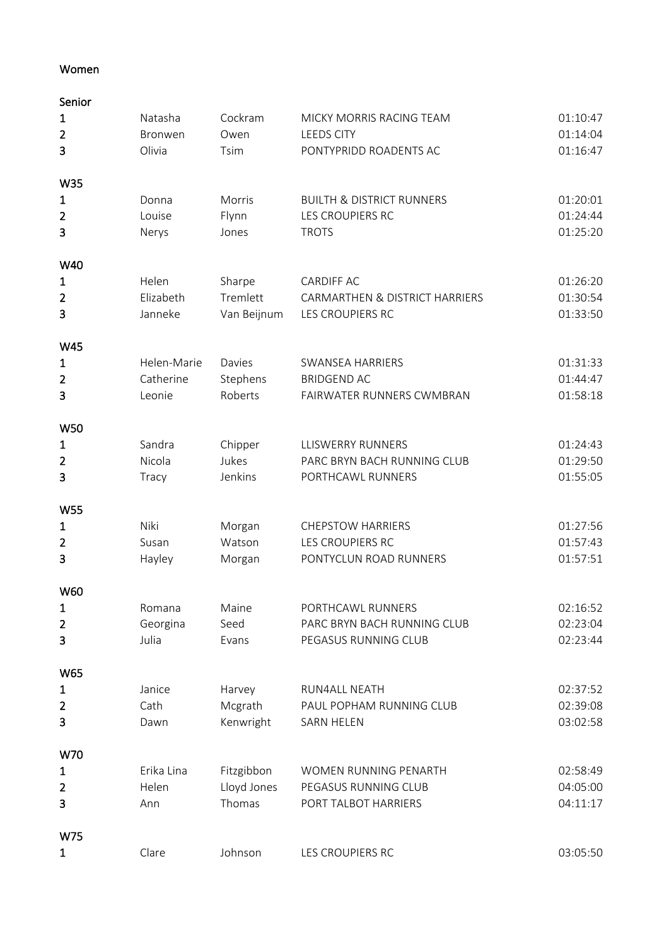## Women

| Senior         |             |             |                                      |          |
|----------------|-------------|-------------|--------------------------------------|----------|
| $\mathbf{1}$   | Natasha     | Cockram     | MICKY MORRIS RACING TEAM             | 01:10:47 |
| $\overline{2}$ | Bronwen     | Owen        | <b>LEEDS CITY</b>                    | 01:14:04 |
| 3              | Olivia      | Tsim        | PONTYPRIDD ROADENTS AC               | 01:16:47 |
|                |             |             |                                      |          |
| W35            |             |             |                                      |          |
| $\mathbf{1}$   | Donna       | Morris      | <b>BUILTH &amp; DISTRICT RUNNERS</b> | 01:20:01 |
| $\overline{2}$ | Louise      | Flynn       | LES CROUPIERS RC                     | 01:24:44 |
| 3              | Nerys       | Jones       | <b>TROTS</b>                         | 01:25:20 |
| W40            |             |             |                                      |          |
| $\mathbf{1}$   | Helen       | Sharpe      | <b>CARDIFF AC</b>                    | 01:26:20 |
| $\overline{2}$ | Elizabeth   | Tremlett    | CARMARTHEN & DISTRICT HARRIERS       | 01:30:54 |
| 3              | Janneke     | Van Beijnum | <b>LES CROUPIERS RC</b>              | 01:33:50 |
|                |             |             |                                      |          |
| W45            |             |             |                                      |          |
| 1              | Helen-Marie | Davies      | <b>SWANSEA HARRIERS</b>              | 01:31:33 |
| $\overline{2}$ | Catherine   | Stephens    | <b>BRIDGEND AC</b>                   | 01:44:47 |
| 3              | Leonie      | Roberts     | FAIRWATER RUNNERS CWMBRAN            | 01:58:18 |
| <b>W50</b>     |             |             |                                      |          |
| 1              | Sandra      | Chipper     | <b>LLISWERRY RUNNERS</b>             | 01:24:43 |
| $\overline{2}$ | Nicola      | Jukes       | PARC BRYN BACH RUNNING CLUB          | 01:29:50 |
| 3              | Tracy       | Jenkins     | PORTHCAWL RUNNERS                    | 01:55:05 |
|                |             |             |                                      |          |
| <b>W55</b>     |             |             |                                      |          |
| $\mathbf{1}$   | Niki        | Morgan      | <b>CHEPSTOW HARRIERS</b>             | 01:27:56 |
| $\overline{2}$ | Susan       | Watson      | LES CROUPIERS RC                     | 01:57:43 |
| 3              | Hayley      | Morgan      | PONTYCLUN ROAD RUNNERS               | 01:57:51 |
| W60            |             |             |                                      |          |
| $\mathbf{1}$   | Romana      | Maine       | PORTHCAWL RUNNERS                    | 02:16:52 |
| $\overline{2}$ | Georgina    | Seed        | PARC BRYN BACH RUNNING CLUB          | 02:23:04 |
| 3              | Julia       | Evans       | PEGASUS RUNNING CLUB                 | 02:23:44 |
|                |             |             |                                      |          |
| W65            |             |             |                                      |          |
| $\mathbf{1}$   | Janice      | Harvey      | RUN4ALL NEATH                        | 02:37:52 |
| $\overline{2}$ | Cath        | Mcgrath     | PAUL POPHAM RUNNING CLUB             | 02:39:08 |
| 3              | Dawn        | Kenwright   | SARN HELEN                           | 03:02:58 |
| W70            |             |             |                                      |          |
| $\mathbf{1}$   | Erika Lina  | Fitzgibbon  | WOMEN RUNNING PENARTH                | 02:58:49 |
| $\overline{2}$ | Helen       | Lloyd Jones | PEGASUS RUNNING CLUB                 | 04:05:00 |
| 3              | Ann         | Thomas      | PORT TALBOT HARRIERS                 | 04:11:17 |
|                |             |             |                                      |          |
| W75            |             |             |                                      |          |
| $\mathbf{1}$   | Clare       | Johnson     | LES CROUPIERS RC                     | 03:05:50 |